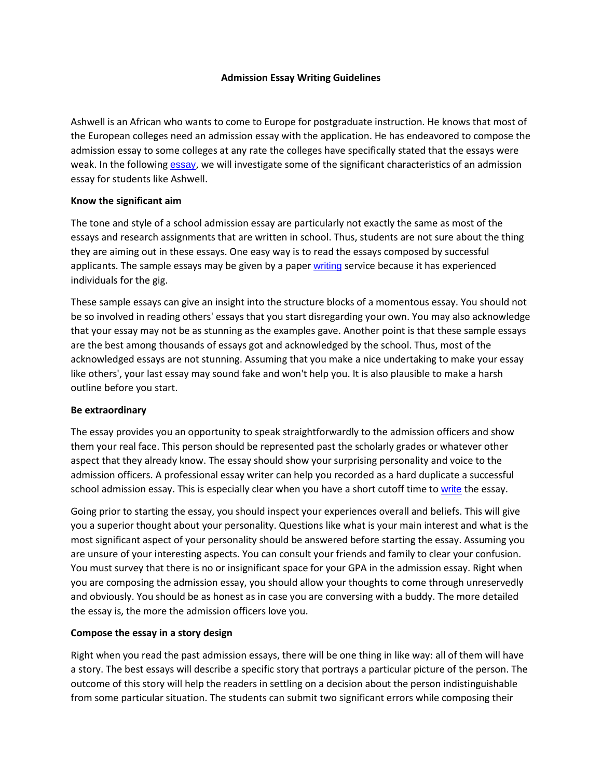### **Admission Essay Writing Guidelines**

Ashwell is an African who wants to come to Europe for postgraduate instruction. He knows that most of the European colleges need an admission essay with the application. He has endeavored to compose the admission essay to some colleges at any rate the colleges have specifically stated that the essays were weak. In the following [essay](https://www.myperfectwords.com/), we will investigate some of the significant characteristics of an admission essay for students like Ashwell.

# **Know the significant aim**

The tone and style of a school admission essay are particularly not exactly the same as most of the essays and research assignments that are written in school. Thus, students are not sure about the thing they are aiming out in these essays. One easy way is to read the essays composed by successful applicants. The sample essays may be given by a paper [writing](https://www.myperfectwords.com/) service because it has experienced individuals for the gig.

These sample essays can give an insight into the structure blocks of a momentous essay. You should not be so involved in reading others' essays that you start disregarding your own. You may also acknowledge that your essay may not be as stunning as the examples gave. Another point is that these sample essays are the best among thousands of essays got and acknowledged by the school. Thus, most of the acknowledged essays are not stunning. Assuming that you make a nice undertaking to make your essay like others', your last essay may sound fake and won't help you. It is also plausible to make a harsh outline before you start.

#### **Be extraordinary**

The essay provides you an opportunity to speak straightforwardly to the admission officers and show them your real face. This person should be represented past the scholarly grades or whatever other aspect that they already know. The essay should show your surprising personality and voice to the admission officers. A professional essay writer can help you recorded as a hard duplicate a successful school admission essay. This is especially clear when you have a short cutoff time to [write](https://www.myperfectwords.com/) the essay.

Going prior to starting the essay, you should inspect your experiences overall and beliefs. This will give you a superior thought about your personality. Questions like what is your main interest and what is the most significant aspect of your personality should be answered before starting the essay. Assuming you are unsure of your interesting aspects. You can consult your friends and family to clear your confusion. You must survey that there is no or insignificant space for your GPA in the admission essay. Right when you are composing the admission essay, you should allow your thoughts to come through unreservedly and obviously. You should be as honest as in case you are conversing with a buddy. The more detailed the essay is, the more the admission officers love you.

# **Compose the essay in a story design**

Right when you read the past admission essays, there will be one thing in like way: all of them will have a story. The best essays will describe a specific story that portrays a particular picture of the person. The outcome of this story will help the readers in settling on a decision about the person indistinguishable from some particular situation. The students can submit two significant errors while composing their